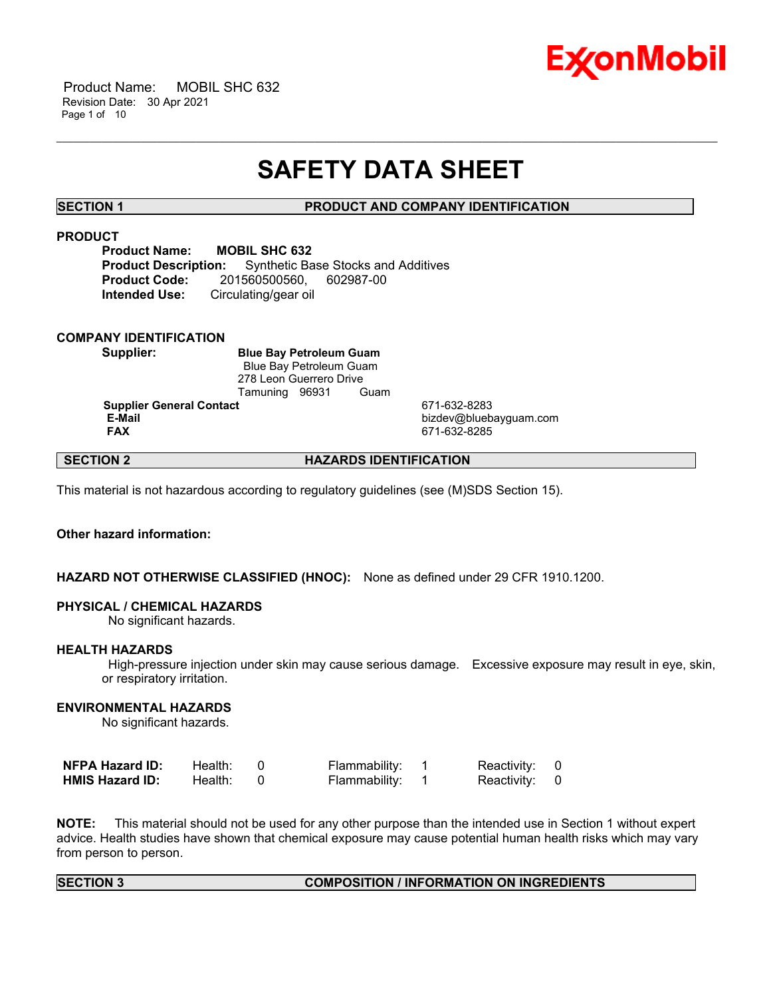

 Product Name: MOBIL SHC 632 Revision Date: 30 Apr 2021 Page 1 of 10

# **SAFETY DATA SHEET**

\_\_\_\_\_\_\_\_\_\_\_\_\_\_\_\_\_\_\_\_\_\_\_\_\_\_\_\_\_\_\_\_\_\_\_\_\_\_\_\_\_\_\_\_\_\_\_\_\_\_\_\_\_\_\_\_\_\_\_\_\_\_\_\_\_\_\_\_\_\_\_\_\_\_\_\_\_\_\_\_\_\_\_\_\_\_\_\_\_\_\_\_\_\_\_\_\_\_\_\_\_\_\_\_\_\_\_\_\_\_\_\_\_\_\_\_\_\_

**SECTION 1 PRODUCT AND COMPANY IDENTIFICATION**

# **PRODUCT**

**Product Name: MOBIL SHC 632 Product Description:** Synthetic Base Stocks and Additives **Product Code:** 201560500560, 602987-00 **Intended Use:** Circulating/gear oil

### **COMPANY IDENTIFICATION**

**Supplier: Blue Bay Petroleum Guam** Blue Bay Petroleum Guam 278 Leon Guerrero Drive Tamuning 96931 Guam

**Supplier General Contact** 671-632-8283

 **E-Mail** bizdev@bluebayguam.com  **FAX** 671-632-8285

# **SECTION 2 HAZARDS IDENTIFICATION**

This material is not hazardous according to regulatory guidelines (see (M)SDS Section 15).

# **Other hazard information:**

### **HAZARD NOT OTHERWISE CLASSIFIED (HNOC):** None as defined under 29 CFR 1910.1200.

# **PHYSICAL / CHEMICAL HAZARDS**

No significant hazards.

# **HEALTH HAZARDS**

 High-pressure injection under skin may cause serious damage. Excessive exposure may result in eye, skin, or respiratory irritation.

# **ENVIRONMENTAL HAZARDS**

No significant hazards.

| <b>NFPA Hazard ID:</b> | Health: | Flammability: | Reactivity: 0 |  |
|------------------------|---------|---------------|---------------|--|
| <b>HMIS Hazard ID:</b> | Health: | Flammability: | Reactivity: 0 |  |

**NOTE:** This material should not be used for any other purpose than the intended use in Section 1 without expert advice. Health studies have shown that chemical exposure may cause potential human health risks which may vary from person to person.

### **SECTION 3 COMPOSITION / INFORMATION ON INGREDIENTS**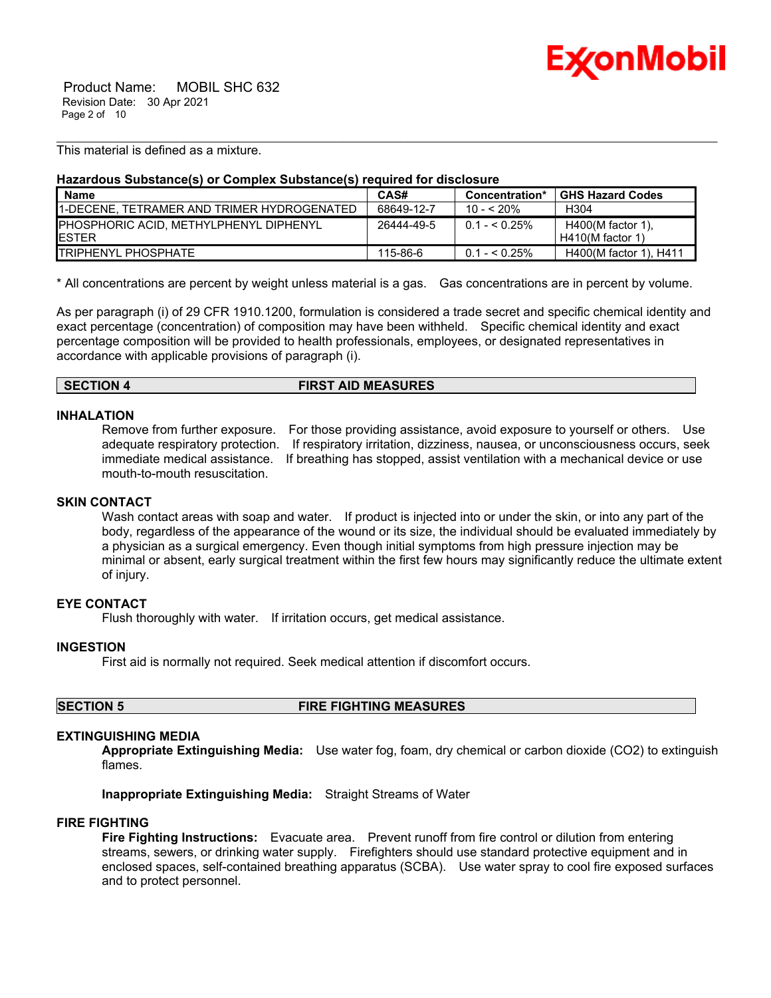

 Product Name: MOBIL SHC 632 Revision Date: 30 Apr 2021 Page 2 of 10

This material is defined as a mixture.

### **Hazardous Substance(s) or Complex Substance(s) required for disclosure**

| <b>Name</b>                                                     | CAS#       | Concentration* | <b>GHS Hazard Codes</b>                   |
|-----------------------------------------------------------------|------------|----------------|-------------------------------------------|
| 11-DECENE. TETRAMER AND TRIMER HYDROGENATED                     | 68649-12-7 | 10 - < 20%     | H304                                      |
| <b>IPHOSPHORIC ACID. METHYLPHENYL DIPHENYL</b><br><b>IESTER</b> | 26444-49-5 | $0.1 - 5.25\%$ | $H400(M$ factor 1).<br>$H410(M$ factor 1) |
| <b>ITRIPHENYL PHOSPHATE</b>                                     | 115-86-6   | $0.1 - 5.25\%$ | H400(M factor 1), H411                    |

\_\_\_\_\_\_\_\_\_\_\_\_\_\_\_\_\_\_\_\_\_\_\_\_\_\_\_\_\_\_\_\_\_\_\_\_\_\_\_\_\_\_\_\_\_\_\_\_\_\_\_\_\_\_\_\_\_\_\_\_\_\_\_\_\_\_\_\_\_\_\_\_\_\_\_\_\_\_\_\_\_\_\_\_\_\_\_\_\_\_\_\_\_\_\_\_\_\_\_\_\_\_\_\_\_\_\_\_\_\_\_\_\_\_\_\_\_\_

\* All concentrations are percent by weight unless material is a gas. Gas concentrations are in percent by volume.

As per paragraph (i) of 29 CFR 1910.1200, formulation is considered a trade secret and specific chemical identity and exact percentage (concentration) of composition may have been withheld. Specific chemical identity and exact percentage composition will be provided to health professionals, employees, or designated representatives in accordance with applicable provisions of paragraph (i).

# **SECTION 4 FIRST AID MEASURES**

# **INHALATION**

Remove from further exposure. For those providing assistance, avoid exposure to yourself or others. Use adequate respiratory protection. If respiratory irritation, dizziness, nausea, or unconsciousness occurs, seek immediate medical assistance. If breathing has stopped, assist ventilation with a mechanical device or use mouth-to-mouth resuscitation.

# **SKIN CONTACT**

Wash contact areas with soap and water. If product is injected into or under the skin, or into any part of the body, regardless of the appearance of the wound or its size, the individual should be evaluated immediately by a physician as a surgical emergency. Even though initial symptoms from high pressure injection may be minimal or absent, early surgical treatment within the first few hours may significantly reduce the ultimate extent of injury.

# **EYE CONTACT**

Flush thoroughly with water. If irritation occurs, get medical assistance.

# **INGESTION**

First aid is normally not required. Seek medical attention if discomfort occurs.

**SECTION 5 FIRE FIGHTING MEASURES** 

# **EXTINGUISHING MEDIA**

**Appropriate Extinguishing Media:** Use water fog, foam, dry chemical or carbon dioxide (CO2) to extinguish flames.

**Inappropriate Extinguishing Media:** Straight Streams of Water

## **FIRE FIGHTING**

**Fire Fighting Instructions:** Evacuate area. Prevent runoff from fire control or dilution from entering streams, sewers, or drinking water supply. Firefighters should use standard protective equipment and in enclosed spaces, self-contained breathing apparatus (SCBA). Use water spray to cool fire exposed surfaces and to protect personnel.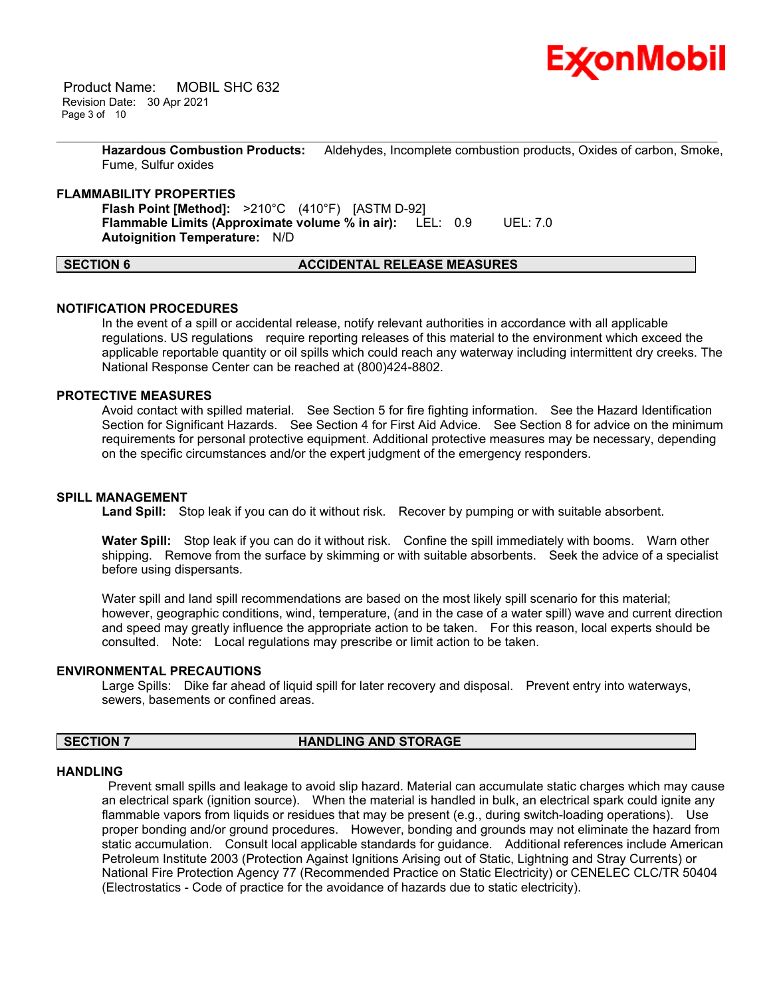

 Product Name: MOBIL SHC 632 Revision Date: 30 Apr 2021 Page 3 of 10

> **Hazardous Combustion Products:** Aldehydes, Incomplete combustion products, Oxides of carbon, Smoke, Fume, Sulfur oxides

\_\_\_\_\_\_\_\_\_\_\_\_\_\_\_\_\_\_\_\_\_\_\_\_\_\_\_\_\_\_\_\_\_\_\_\_\_\_\_\_\_\_\_\_\_\_\_\_\_\_\_\_\_\_\_\_\_\_\_\_\_\_\_\_\_\_\_\_\_\_\_\_\_\_\_\_\_\_\_\_\_\_\_\_\_\_\_\_\_\_\_\_\_\_\_\_\_\_\_\_\_\_\_\_\_\_\_\_\_\_\_\_\_\_\_\_\_\_

### **FLAMMABILITY PROPERTIES**

**Flash Point [Method]:** >210°C (410°F) [ASTM D-92] **Flammable Limits (Approximate volume % in air):** LEL: 0.9 UEL: 7.0 **Autoignition Temperature:** N/D

**SECTION 6 ACCIDENTAL RELEASE MEASURES** 

### **NOTIFICATION PROCEDURES**

In the event of a spill or accidental release, notify relevant authorities in accordance with all applicable regulations. US regulations require reporting releases of this material to the environment which exceed the applicable reportable quantity or oil spills which could reach any waterway including intermittent dry creeks. The National Response Center can be reached at (800)424-8802.

### **PROTECTIVE MEASURES**

Avoid contact with spilled material. See Section 5 for fire fighting information. See the Hazard Identification Section for Significant Hazards. See Section 4 for First Aid Advice. See Section 8 for advice on the minimum requirements for personal protective equipment. Additional protective measures may be necessary, depending on the specific circumstances and/or the expert judgment of the emergency responders.

#### **SPILL MANAGEMENT**

Land Spill: Stop leak if you can do it without risk. Recover by pumping or with suitable absorbent.

**Water Spill:** Stop leak if you can do it without risk. Confine the spill immediately with booms. Warn other shipping. Remove from the surface by skimming or with suitable absorbents. Seek the advice of a specialist before using dispersants.

Water spill and land spill recommendations are based on the most likely spill scenario for this material; however, geographic conditions, wind, temperature, (and in the case of a water spill) wave and current direction and speed may greatly influence the appropriate action to be taken. For this reason, local experts should be consulted. Note: Local regulations may prescribe or limit action to be taken.

### **ENVIRONMENTAL PRECAUTIONS**

Large Spills: Dike far ahead of liquid spill for later recovery and disposal. Prevent entry into waterways, sewers, basements or confined areas.

# **SECTION 7 HANDLING AND STORAGE**

### **HANDLING**

 Prevent small spills and leakage to avoid slip hazard. Material can accumulate static charges which may cause an electrical spark (ignition source). When the material is handled in bulk, an electrical spark could ignite any flammable vapors from liquids or residues that may be present (e.g., during switch-loading operations). Use proper bonding and/or ground procedures. However, bonding and grounds may not eliminate the hazard from static accumulation. Consult local applicable standards for guidance. Additional references include American Petroleum Institute 2003 (Protection Against Ignitions Arising out of Static, Lightning and Stray Currents) or National Fire Protection Agency 77 (Recommended Practice on Static Electricity) or CENELEC CLC/TR 50404 (Electrostatics - Code of practice for the avoidance of hazards due to static electricity).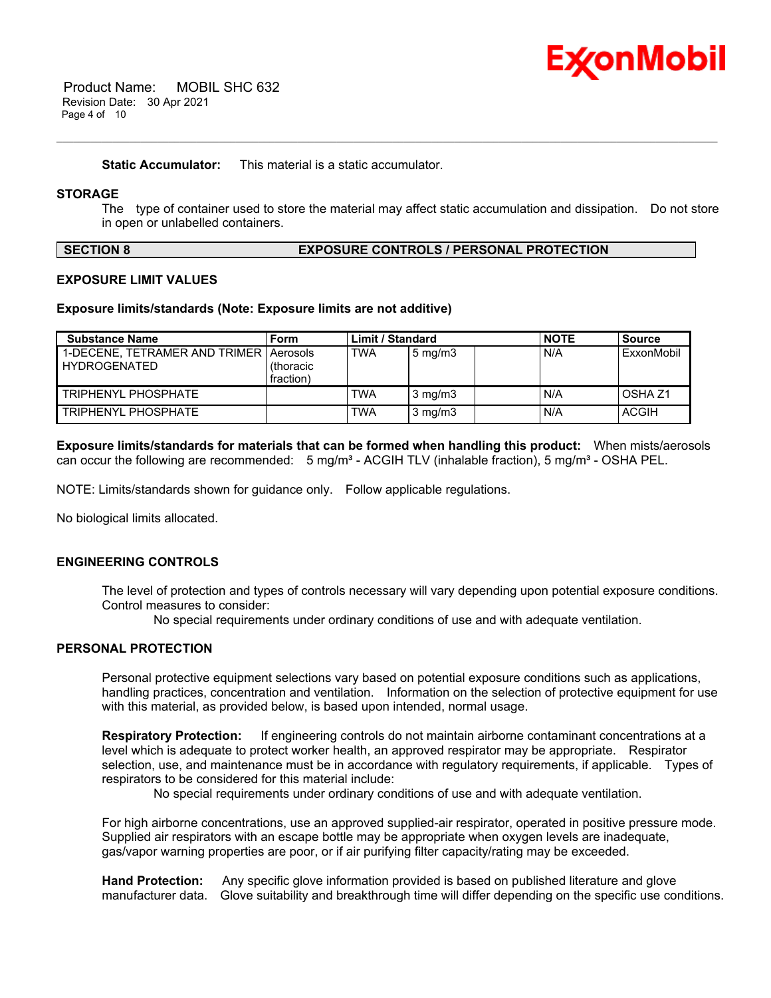

**Static Accumulator:** This material is a static accumulator.

# **STORAGE**

The type of container used to store the material may affect static accumulation and dissipation. Do not store in open or unlabelled containers.

\_\_\_\_\_\_\_\_\_\_\_\_\_\_\_\_\_\_\_\_\_\_\_\_\_\_\_\_\_\_\_\_\_\_\_\_\_\_\_\_\_\_\_\_\_\_\_\_\_\_\_\_\_\_\_\_\_\_\_\_\_\_\_\_\_\_\_\_\_\_\_\_\_\_\_\_\_\_\_\_\_\_\_\_\_\_\_\_\_\_\_\_\_\_\_\_\_\_\_\_\_\_\_\_\_\_\_\_\_\_\_\_\_\_\_\_\_\_

# **SECTION 8 EXPOSURE CONTROLS / PERSONAL PROTECTION**

# **EXPOSURE LIMIT VALUES**

### **Exposure limits/standards (Note: Exposure limits are not additive)**

| <b>Substance Name</b>                                           | Form                   | <b>Limit / Standard</b> |                  | <b>NOTE</b> | Source             |
|-----------------------------------------------------------------|------------------------|-------------------------|------------------|-------------|--------------------|
| 1-DECENE. TETRAMER AND TRIMER   Aerosols<br><b>HYDROGENATED</b> | (thoracic<br>fraction) | <b>TWA</b>              | $5 \text{ mg/m}$ | N/A         | ExxonMobil         |
| <b>TRIPHENYL PHOSPHATE</b>                                      |                        | TWA                     | $3 \text{ mg/m}$ | N/A         | OSHA <sub>Z1</sub> |
| TRIPHENYL PHOSPHATE                                             |                        | TWA                     | $3 \text{ mg/m}$ | N/A         | <b>ACGIH</b>       |

**Exposure limits/standards for materials that can be formed when handling this product:** When mists/aerosols can occur the following are recommended:  $5 \text{ mg/m}^3$  - ACGIH TLV (inhalable fraction),  $5 \text{ mg/m}^3$  - OSHA PEL.

NOTE: Limits/standards shown for guidance only. Follow applicable regulations.

No biological limits allocated.

# **ENGINEERING CONTROLS**

The level of protection and types of controls necessary will vary depending upon potential exposure conditions. Control measures to consider:

No special requirements under ordinary conditions of use and with adequate ventilation.

# **PERSONAL PROTECTION**

Personal protective equipment selections vary based on potential exposure conditions such as applications, handling practices, concentration and ventilation. Information on the selection of protective equipment for use with this material, as provided below, is based upon intended, normal usage.

**Respiratory Protection:** If engineering controls do not maintain airborne contaminant concentrations at a level which is adequate to protect worker health, an approved respirator may be appropriate. Respirator selection, use, and maintenance must be in accordance with regulatory requirements, if applicable. Types of respirators to be considered for this material include:

No special requirements under ordinary conditions of use and with adequate ventilation.

For high airborne concentrations, use an approved supplied-air respirator, operated in positive pressure mode. Supplied air respirators with an escape bottle may be appropriate when oxygen levels are inadequate, gas/vapor warning properties are poor, or if air purifying filter capacity/rating may be exceeded.

**Hand Protection:** Any specific glove information provided is based on published literature and glove manufacturer data. Glove suitability and breakthrough time will differ depending on the specific use conditions.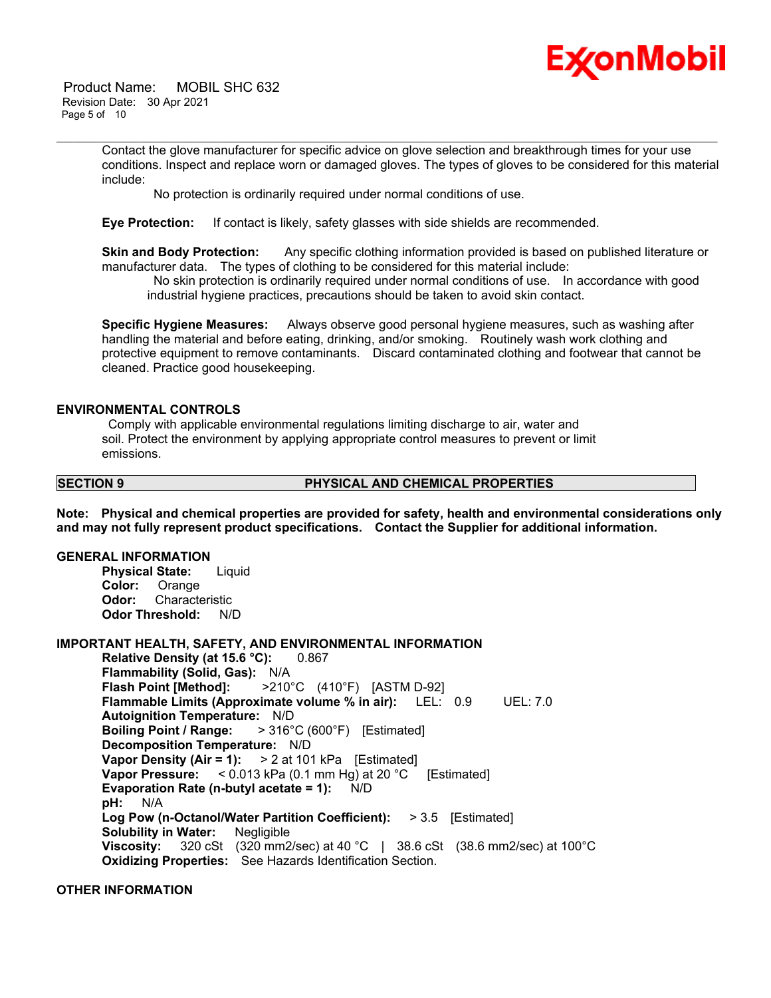

 Product Name: MOBIL SHC 632 Revision Date: 30 Apr 2021 Page 5 of 10

> Contact the glove manufacturer for specific advice on glove selection and breakthrough times for your use conditions. Inspect and replace worn or damaged gloves. The types of gloves to be considered for this material include:

\_\_\_\_\_\_\_\_\_\_\_\_\_\_\_\_\_\_\_\_\_\_\_\_\_\_\_\_\_\_\_\_\_\_\_\_\_\_\_\_\_\_\_\_\_\_\_\_\_\_\_\_\_\_\_\_\_\_\_\_\_\_\_\_\_\_\_\_\_\_\_\_\_\_\_\_\_\_\_\_\_\_\_\_\_\_\_\_\_\_\_\_\_\_\_\_\_\_\_\_\_\_\_\_\_\_\_\_\_\_\_\_\_\_\_\_\_\_

No protection is ordinarily required under normal conditions of use.

**Eye Protection:** If contact is likely, safety glasses with side shields are recommended.

**Skin and Body Protection:** Any specific clothing information provided is based on published literature or manufacturer data. The types of clothing to be considered for this material include:

 No skin protection is ordinarily required under normal conditions of use. In accordance with good industrial hygiene practices, precautions should be taken to avoid skin contact.

**Specific Hygiene Measures:** Always observe good personal hygiene measures, such as washing after handling the material and before eating, drinking, and/or smoking. Routinely wash work clothing and protective equipment to remove contaminants. Discard contaminated clothing and footwear that cannot be cleaned. Practice good housekeeping.

#### **ENVIRONMENTAL CONTROLS**

 Comply with applicable environmental regulations limiting discharge to air, water and soil. Protect the environment by applying appropriate control measures to prevent or limit emissions.

# **SECTION 9 PHYSICAL AND CHEMICAL PROPERTIES**

**Note: Physical and chemical properties are provided for safety, health and environmental considerations only and may not fully represent product specifications. Contact the Supplier for additional information.**

# **GENERAL INFORMATION**

**Physical State:** Liquid **Color:** Orange **Odor:** Characteristic **Odor Threshold:** N/D

**IMPORTANT HEALTH, SAFETY, AND ENVIRONMENTAL INFORMATION Relative Density (at 15.6 °C):** 0.867

**Flammability (Solid, Gas):** N/A **Flash Point [Method]:** >210°C (410°F) [ASTM D-92] **Flammable Limits (Approximate volume % in air):** LEL: 0.9 UEL: 7.0 **Autoignition Temperature:** N/D **Boiling Point / Range:** > 316°C (600°F) [Estimated] **Decomposition Temperature:** N/D **Vapor Density (Air = 1):** > 2 at 101 kPa [Estimated] **Vapor Pressure:** < 0.013 kPa (0.1 mm Hg) at 20 °C [Estimated] **Evaporation Rate (n-butyl acetate = 1):** N/D **pH:** N/A **Log Pow (n-Octanol/Water Partition Coefficient):** > 3.5 [Estimated] **Solubility in Water:** Negligible **Viscosity:** 320 cSt (320 mm2/sec) at 40 °C | 38.6 cSt (38.6 mm2/sec) at 100°C **Oxidizing Properties:** See Hazards Identification Section.

# **OTHER INFORMATION**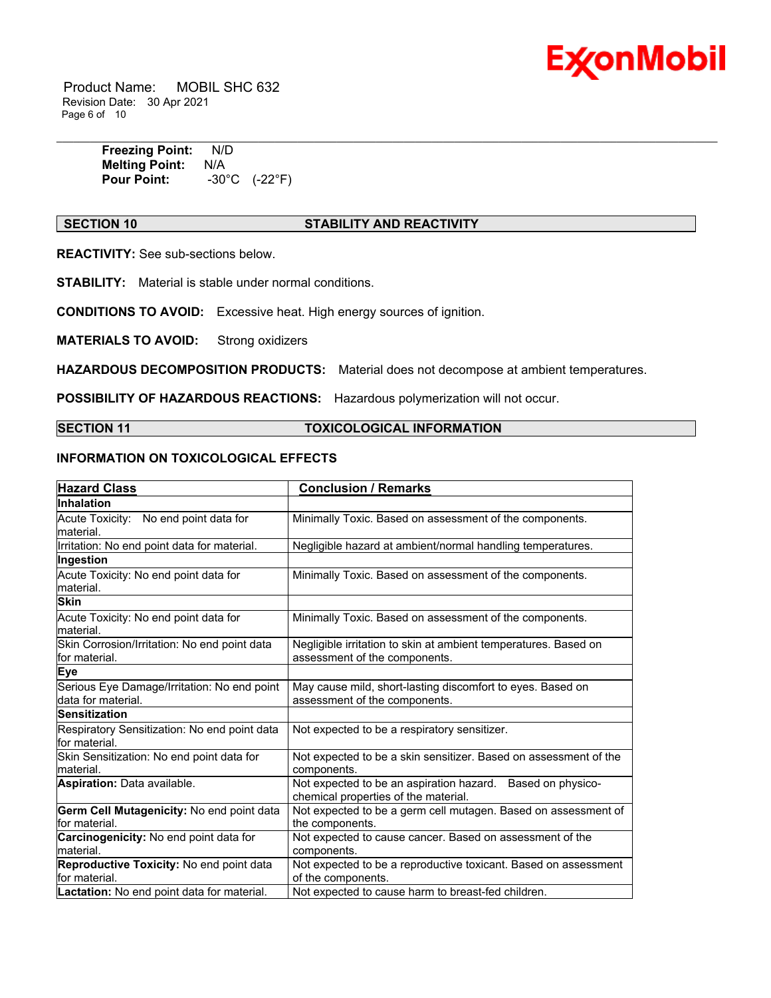

 Product Name: MOBIL SHC 632 Revision Date: 30 Apr 2021 Page 6 of 10

> **Freezing Point:** N/D **Melting Point:** N/A **Pour Point:** -30°C (-22°F)

# **SECTION 10 STABILITY AND REACTIVITY**

\_\_\_\_\_\_\_\_\_\_\_\_\_\_\_\_\_\_\_\_\_\_\_\_\_\_\_\_\_\_\_\_\_\_\_\_\_\_\_\_\_\_\_\_\_\_\_\_\_\_\_\_\_\_\_\_\_\_\_\_\_\_\_\_\_\_\_\_\_\_\_\_\_\_\_\_\_\_\_\_\_\_\_\_\_\_\_\_\_\_\_\_\_\_\_\_\_\_\_\_\_\_\_\_\_\_\_\_\_\_\_\_\_\_\_\_\_\_

**REACTIVITY:** See sub-sections below.

**STABILITY:** Material is stable under normal conditions.

**CONDITIONS TO AVOID:** Excessive heat. High energy sources of ignition.

**MATERIALS TO AVOID:** Strong oxidizers

**HAZARDOUS DECOMPOSITION PRODUCTS:** Material does not decompose at ambient temperatures.

**POSSIBILITY OF HAZARDOUS REACTIONS:** Hazardous polymerization will not occur.

# **SECTION 11 TOXICOLOGICAL INFORMATION**

# **INFORMATION ON TOXICOLOGICAL EFFECTS**

| <b>Hazard Class</b>                                               | <b>Conclusion / Remarks</b>                                                                        |  |  |
|-------------------------------------------------------------------|----------------------------------------------------------------------------------------------------|--|--|
| Inhalation                                                        |                                                                                                    |  |  |
| Acute Toxicity: No end point data for<br>material.                | Minimally Toxic. Based on assessment of the components.                                            |  |  |
| Irritation: No end point data for material.                       | Negligible hazard at ambient/normal handling temperatures.                                         |  |  |
| Ingestion                                                         |                                                                                                    |  |  |
| Acute Toxicity: No end point data for<br>material.                | Minimally Toxic. Based on assessment of the components.                                            |  |  |
| <b>Skin</b>                                                       |                                                                                                    |  |  |
| Acute Toxicity: No end point data for<br>material.                | Minimally Toxic. Based on assessment of the components.                                            |  |  |
| Skin Corrosion/Irritation: No end point data<br>for material.     | Negligible irritation to skin at ambient temperatures. Based on<br>assessment of the components.   |  |  |
| <b>Eye</b>                                                        |                                                                                                    |  |  |
| Serious Eye Damage/Irritation: No end point<br>data for material. | May cause mild, short-lasting discomfort to eyes. Based on<br>assessment of the components.        |  |  |
| <b>Sensitization</b>                                              |                                                                                                    |  |  |
| Respiratory Sensitization: No end point data<br>for material.     | Not expected to be a respiratory sensitizer.                                                       |  |  |
| Skin Sensitization: No end point data for<br>material.            | Not expected to be a skin sensitizer. Based on assessment of the<br>components.                    |  |  |
| Aspiration: Data available.                                       | Not expected to be an aspiration hazard. Based on physico-<br>chemical properties of the material. |  |  |
| Germ Cell Mutagenicity: No end point data<br>for material.        | Not expected to be a germ cell mutagen. Based on assessment of<br>the components.                  |  |  |
| Carcinogenicity: No end point data for<br>material.               | Not expected to cause cancer. Based on assessment of the<br>components.                            |  |  |
| Reproductive Toxicity: No end point data<br>for material.         | Not expected to be a reproductive toxicant. Based on assessment<br>of the components.              |  |  |
| Lactation: No end point data for material.                        | Not expected to cause harm to breast-fed children.                                                 |  |  |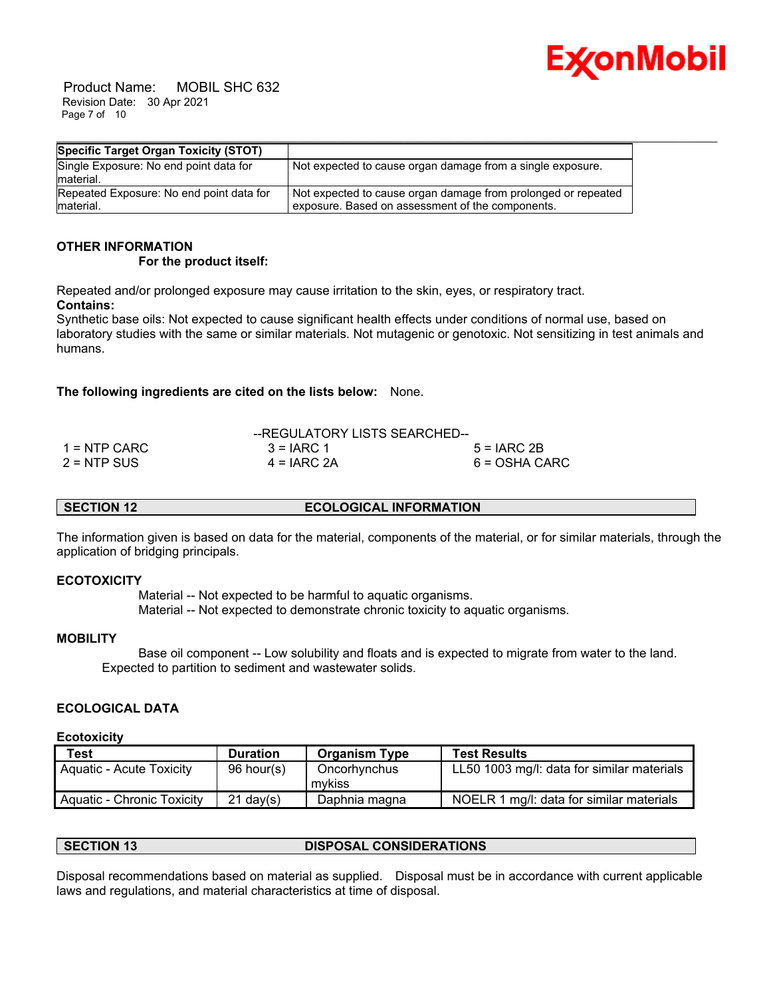

 Product Name: MOBIL SHC 632 Revision Date: 30 Apr 2021 Page 7 of 10

| Specific Target Organ Toxicity (STOT)                 |                                                                                                                   |
|-------------------------------------------------------|-------------------------------------------------------------------------------------------------------------------|
| Single Exposure: No end point data for<br>material.   | Not expected to cause organ damage from a single exposure.                                                        |
| Repeated Exposure: No end point data for<br>material. | Not expected to cause organ damage from prolonged or repeated<br>exposure. Based on assessment of the components. |

# **OTHER INFORMATION**

 **For the product itself:** 

Repeated and/or prolonged exposure may cause irritation to the skin, eyes, or respiratory tract. **Contains:**

Synthetic base oils: Not expected to cause significant health effects under conditions of normal use, based on laboratory studies with the same or similar materials. Not mutagenic or genotoxic. Not sensitizing in test animals and humans.

# **The following ingredients are cited on the lists below:** None.

|               | --REGULATORY LISTS SEARCHED-- |               |  |
|---------------|-------------------------------|---------------|--|
| 1 = NTP CARC  | $3 = IARC 1$                  | $5 = IARC 2B$ |  |
| $2 =$ NTP SUS | $4 = IARC 2A$                 | 6 = OSHA CARC |  |

# **SECTION 12 ECOLOGICAL INFORMATION**

The information given is based on data for the material, components of the material, or for similar materials, through the application of bridging principals.

# **ECOTOXICITY**

 Material -- Not expected to be harmful to aquatic organisms. Material -- Not expected to demonstrate chronic toxicity to aquatic organisms.

### **MOBILITY**

 Base oil component -- Low solubility and floats and is expected to migrate from water to the land. Expected to partition to sediment and wastewater solids.

# **ECOLOGICAL DATA**

### **Ecotoxicity**

| <b>Test</b>                     | <b>Duration</b>     | <b>Organism Type</b> | <b>Test Results</b>                        |
|---------------------------------|---------------------|----------------------|--------------------------------------------|
| <b>Aquatic - Acute Toxicity</b> | 96 hour(s)          | Oncorhynchus         | LL50 1003 mg/l: data for similar materials |
|                                 |                     | mvkiss               |                                            |
| Aquatic - Chronic Toxicity      | $21 \text{ day}(s)$ | Daphnia magna        | NOELR 1 mg/l: data for similar materials   |

# **SECTION 13 DISPOSAL CONSIDERATIONS**

Disposal recommendations based on material as supplied. Disposal must be in accordance with current applicable laws and regulations, and material characteristics at time of disposal.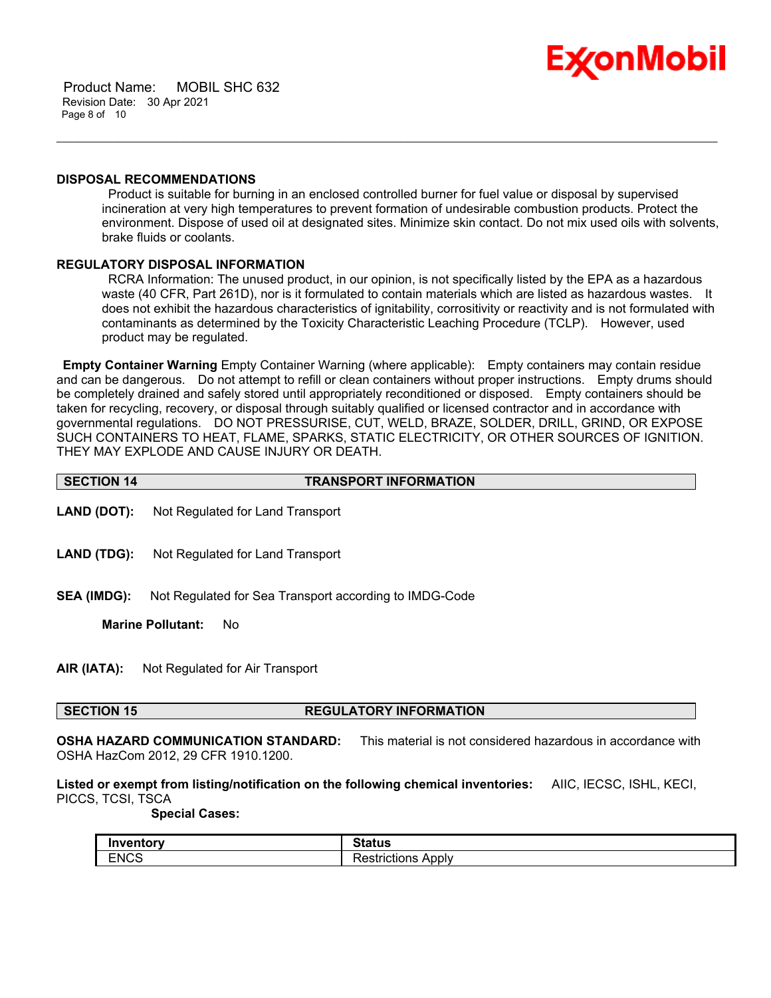

 Product Name: MOBIL SHC 632 Revision Date: 30 Apr 2021 Page 8 of 10

# **DISPOSAL RECOMMENDATIONS**

 Product is suitable for burning in an enclosed controlled burner for fuel value or disposal by supervised incineration at very high temperatures to prevent formation of undesirable combustion products. Protect the environment. Dispose of used oil at designated sites. Minimize skin contact. Do not mix used oils with solvents, brake fluids or coolants.

\_\_\_\_\_\_\_\_\_\_\_\_\_\_\_\_\_\_\_\_\_\_\_\_\_\_\_\_\_\_\_\_\_\_\_\_\_\_\_\_\_\_\_\_\_\_\_\_\_\_\_\_\_\_\_\_\_\_\_\_\_\_\_\_\_\_\_\_\_\_\_\_\_\_\_\_\_\_\_\_\_\_\_\_\_\_\_\_\_\_\_\_\_\_\_\_\_\_\_\_\_\_\_\_\_\_\_\_\_\_\_\_\_\_\_\_\_\_

# **REGULATORY DISPOSAL INFORMATION**

 RCRA Information: The unused product, in our opinion, is not specifically listed by the EPA as a hazardous waste (40 CFR, Part 261D), nor is it formulated to contain materials which are listed as hazardous wastes. It does not exhibit the hazardous characteristics of ignitability, corrositivity or reactivity and is not formulated with contaminants as determined by the Toxicity Characteristic Leaching Procedure (TCLP). However, used product may be regulated.

**Empty Container Warning** Empty Container Warning (where applicable): Empty containers may contain residue and can be dangerous. Do not attempt to refill or clean containers without proper instructions. Empty drums should be completely drained and safely stored until appropriately reconditioned or disposed. Empty containers should be taken for recycling, recovery, or disposal through suitably qualified or licensed contractor and in accordance with governmental regulations. DO NOT PRESSURISE, CUT, WELD, BRAZE, SOLDER, DRILL, GRIND, OR EXPOSE SUCH CONTAINERS TO HEAT, FLAME, SPARKS, STATIC ELECTRICITY, OR OTHER SOURCES OF IGNITION. THEY MAY EXPLODE AND CAUSE INJURY OR DEATH.

- **LAND (DOT):** Not Regulated for Land Transport
- **LAND (TDG):** Not Regulated for Land Transport
- **SEA (IMDG):** Not Regulated for Sea Transport according to IMDG-Code

**Marine Pollutant:** No

**AIR (IATA):** Not Regulated for Air Transport

### **SECTION 15 REGULATORY INFORMATION**

**OSHA HAZARD COMMUNICATION STANDARD:** This material is not considered hazardous in accordance with OSHA HazCom 2012, 29 CFR 1910.1200.

**Listed or exempt from listing/notification on the following chemical inventories:** AIIC, IECSC, ISHL, KECI, PICCS, TCSI, TSCA

 **Special Cases:**

|             | $\sim$          |
|-------------|-----------------|
| <b>ENCS</b> | Apply<br>TCHOHS |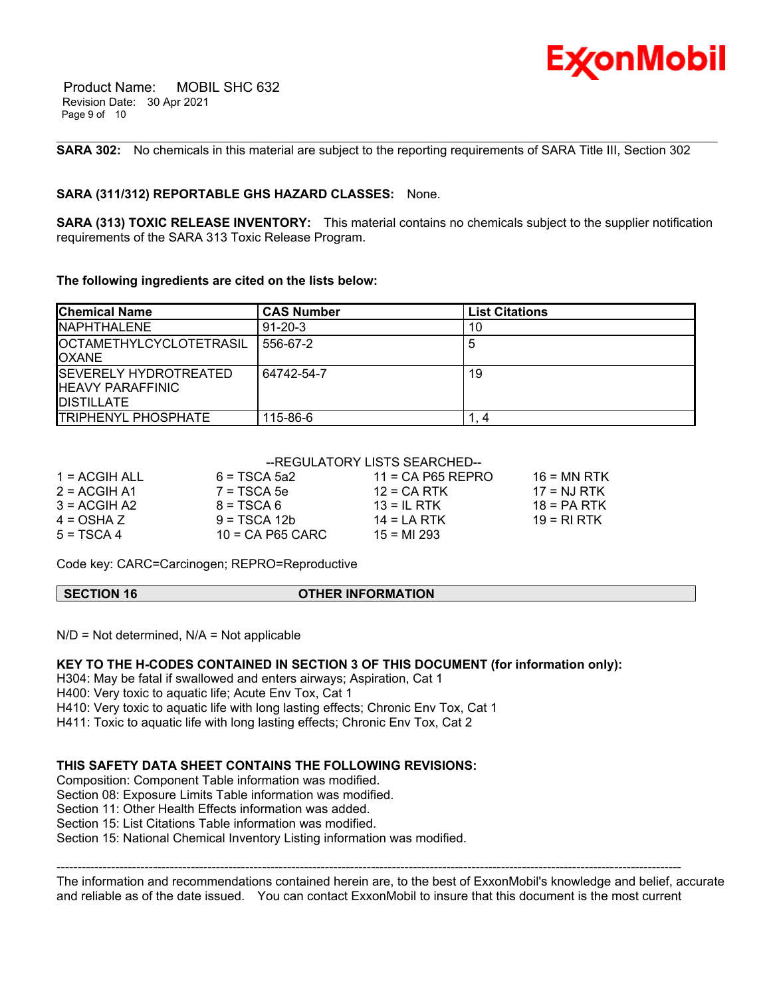

 Product Name: MOBIL SHC 632 Revision Date: 30 Apr 2021 Page 9 of 10

**SARA 302:** No chemicals in this material are subject to the reporting requirements of SARA Title III, Section 302

\_\_\_\_\_\_\_\_\_\_\_\_\_\_\_\_\_\_\_\_\_\_\_\_\_\_\_\_\_\_\_\_\_\_\_\_\_\_\_\_\_\_\_\_\_\_\_\_\_\_\_\_\_\_\_\_\_\_\_\_\_\_\_\_\_\_\_\_\_\_\_\_\_\_\_\_\_\_\_\_\_\_\_\_\_\_\_\_\_\_\_\_\_\_\_\_\_\_\_\_\_\_\_\_\_\_\_\_\_\_\_\_\_\_\_\_\_\_

# **SARA (311/312) REPORTABLE GHS HAZARD CLASSES:** None.

**SARA (313) TOXIC RELEASE INVENTORY:** This material contains no chemicals subject to the supplier notification requirements of the SARA 313 Toxic Release Program.

**The following ingredients are cited on the lists below:**

| <b>Chemical Name</b>                                                           | <b>CAS Number</b> | <b>List Citations</b> |
|--------------------------------------------------------------------------------|-------------------|-----------------------|
| INAPHTHAL FNF                                                                  | $91 - 20 - 3$     | 10                    |
| <b>IOCTAMETHYLCYCLOTETRASIL</b><br><b>IOXANE</b>                               | 556-67-2          | 5                     |
| <b>ISEVERELY HYDROTREATED</b><br><b>HEAVY PARAFFINIC</b><br><b>IDISTILLATE</b> | 64742-54-7        | 19                    |
| <b>TRIPHENYL PHOSPHATE</b>                                                     | 115-86-6          |                       |

### --REGULATORY LISTS SEARCHED--

| $1 = ACGIH ALL$ | $6 = TSCA$ 5a2     | $11 = CA$ P65 REPRO | $16 = MN$ RTK |
|-----------------|--------------------|---------------------|---------------|
| $2 = ACGIH A1$  | $7 = TSCA5e$       | $12$ = CA RTK       | $17 = NJ RTK$ |
| $3 = ACGIH A2$  | $8 = TSCA6$        | $13 = IL$ RTK       | $18 = PA RTK$ |
| $4 = OSHA Z$    | $9 = TSCA 12b$     | $14 = LA RTK$       | 19 = RI RTK   |
| $5 = TSCA4$     | $10 = CA$ P65 CARC | $15 = M1293$        |               |

Code key: CARC=Carcinogen; REPRO=Reproductive

**SECTION 16 OTHER INFORMATION**

 $N/D$  = Not determined,  $N/A$  = Not applicable

**KEY TO THE H-CODES CONTAINED IN SECTION 3 OF THIS DOCUMENT (for information only):**

H304: May be fatal if swallowed and enters airways; Aspiration, Cat 1

H400: Very toxic to aquatic life; Acute Env Tox, Cat 1

H410: Very toxic to aquatic life with long lasting effects; Chronic Env Tox, Cat 1

H411: Toxic to aquatic life with long lasting effects; Chronic Env Tox, Cat 2

# **THIS SAFETY DATA SHEET CONTAINS THE FOLLOWING REVISIONS:**

Composition: Component Table information was modified.

Section 08: Exposure Limits Table information was modified.

Section 11: Other Health Effects information was added.

Section 15: List Citations Table information was modified.

Section 15: National Chemical Inventory Listing information was modified.

----------------------------------------------------------------------------------------------------------------------------------------------------- The information and recommendations contained herein are, to the best of ExxonMobil's knowledge and belief, accurate and reliable as of the date issued. You can contact ExxonMobil to insure that this document is the most current